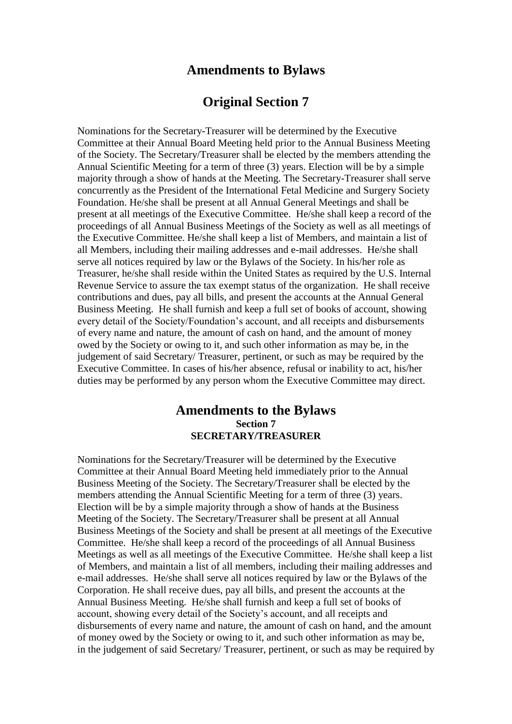## **Amendments to Bylaws**

## **Original Section 7**

Nominations for the Secretary-Treasurer will be determined by the Executive Committee at their Annual Board Meeting held prior to the Annual Business Meeting of the Society. The Secretary/Treasurer shall be elected by the members attending the Annual Scientific Meeting for a term of three (3) years. Election will be by a simple majority through a show of hands at the Meeting. The Secretary-Treasurer shall serve concurrently as the President of the International Fetal Medicine and Surgery Society Foundation. He/she shall be present at all Annual General Meetings and shall be present at all meetings of the Executive Committee. He/she shall keep a record of the proceedings of all Annual Business Meetings of the Society as well as all meetings of the Executive Committee. He/she shall keep a list of Members, and maintain a list of all Members, including their mailing addresses and e-mail addresses. He/she shall serve all notices required by law or the Bylaws of the Society. In his/her role as Treasurer, he/she shall reside within the United States as required by the U.S. Internal Revenue Service to assure the tax exempt status of the organization. He shall receive contributions and dues, pay all bills, and present the accounts at the Annual General Business Meeting. He shall furnish and keep a full set of books of account, showing every detail of the Society/Foundation's account, and all receipts and disbursements of every name and nature, the amount of cash on hand, and the amount of money owed by the Society or owing to it, and such other information as may be, in the judgement of said Secretary/ Treasurer, pertinent, or such as may be required by the Executive Committee. In cases of his/her absence, refusal or inability to act, his/her duties may be performed by any person whom the Executive Committee may direct.

## **Amendments to the Bylaws Section 7 SECRETARY/TREASURER**

Nominations for the Secretary/Treasurer will be determined by the Executive Committee at their Annual Board Meeting held immediately prior to the Annual Business Meeting of the Society. The Secretary/Treasurer shall be elected by the members attending the Annual Scientific Meeting for a term of three (3) years. Election will be by a simple majority through a show of hands at the Business Meeting of the Society. The Secretary/Treasurer shall be present at all Annual Business Meetings of the Society and shall be present at all meetings of the Executive Committee. He/she shall keep a record of the proceedings of all Annual Business Meetings as well as all meetings of the Executive Committee. He/she shall keep a list of Members, and maintain a list of all members, including their mailing addresses and e-mail addresses. He/she shall serve all notices required by law or the Bylaws of the Corporation. He shall receive dues, pay all bills, and present the accounts at the Annual Business Meeting. He/she shall furnish and keep a full set of books of account, showing every detail of the Society's account, and all receipts and disbursements of every name and nature, the amount of cash on hand, and the amount of money owed by the Society or owing to it, and such other information as may be, in the judgement of said Secretary/ Treasurer, pertinent, or such as may be required by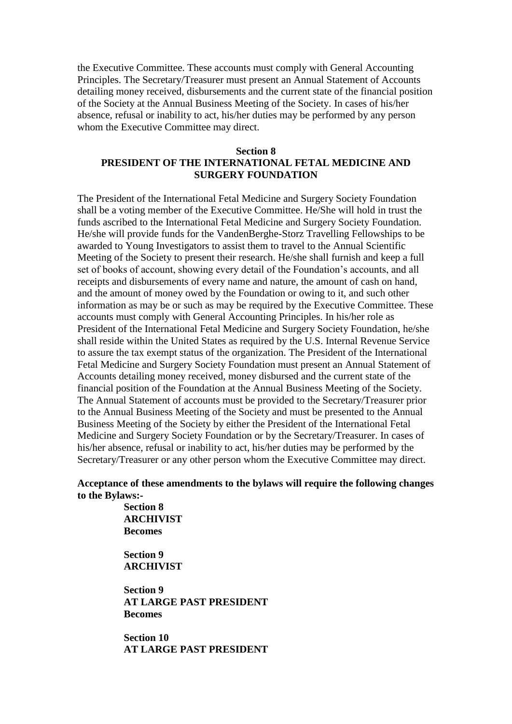the Executive Committee. These accounts must comply with General Accounting Principles. The Secretary/Treasurer must present an Annual Statement of Accounts detailing money received, disbursements and the current state of the financial position of the Society at the Annual Business Meeting of the Society. In cases of his/her absence, refusal or inability to act, his/her duties may be performed by any person whom the Executive Committee may direct.

## **Section 8 PRESIDENT OF THE INTERNATIONAL FETAL MEDICINE AND SURGERY FOUNDATION**

The President of the International Fetal Medicine and Surgery Society Foundation shall be a voting member of the Executive Committee. He/She will hold in trust the funds ascribed to the International Fetal Medicine and Surgery Society Foundation. He/she will provide funds for the VandenBerghe-Storz Travelling Fellowships to be awarded to Young Investigators to assist them to travel to the Annual Scientific Meeting of the Society to present their research. He/she shall furnish and keep a full set of books of account, showing every detail of the Foundation's accounts, and all receipts and disbursements of every name and nature, the amount of cash on hand, and the amount of money owed by the Foundation or owing to it, and such other information as may be or such as may be required by the Executive Committee. These accounts must comply with General Accounting Principles. In his/her role as President of the International Fetal Medicine and Surgery Society Foundation, he/she shall reside within the United States as required by the U.S. Internal Revenue Service to assure the tax exempt status of the organization. The President of the International Fetal Medicine and Surgery Society Foundation must present an Annual Statement of Accounts detailing money received, money disbursed and the current state of the financial position of the Foundation at the Annual Business Meeting of the Society. The Annual Statement of accounts must be provided to the Secretary/Treasurer prior to the Annual Business Meeting of the Society and must be presented to the Annual Business Meeting of the Society by either the President of the International Fetal Medicine and Surgery Society Foundation or by the Secretary/Treasurer. In cases of his/her absence, refusal or inability to act, his/her duties may be performed by the Secretary/Treasurer or any other person whom the Executive Committee may direct.

**Acceptance of these amendments to the bylaws will require the following changes to the Bylaws:-**

> **Section 8 ARCHIVIST Becomes**

**Section 9 ARCHIVIST**

**Section 9 AT LARGE PAST PRESIDENT Becomes**

**Section 10 AT LARGE PAST PRESIDENT**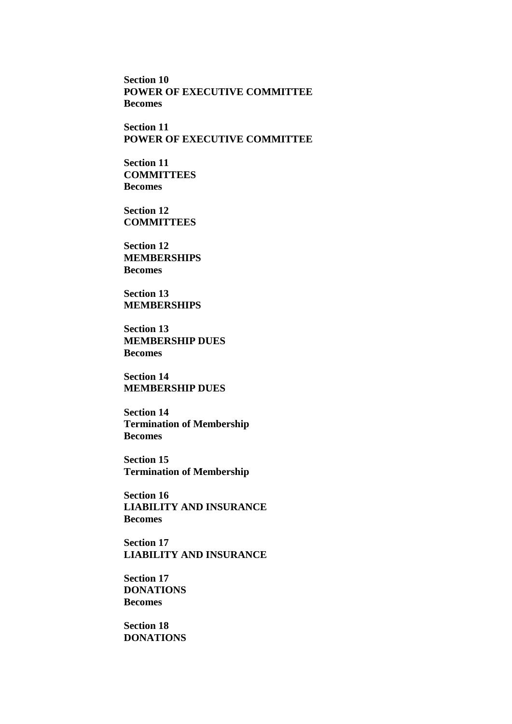**Section 10 POWER OF EXECUTIVE COMMITTEE Becomes**

**Section 11 POWER OF EXECUTIVE COMMITTEE**

**Section 11 COMMITTEES Becomes**

**Section 12 COMMITTEES**

**Section 12 MEMBERSHIPS Becomes**

**Section 13 MEMBERSHIPS**

**Section 13 MEMBERSHIP DUES Becomes**

**Section 14 MEMBERSHIP DUES** 

**Section 14 Termination of Membership Becomes**

**Section 15 Termination of Membership**

**Section 16 LIABILITY AND INSURANCE Becomes**

**Section 17 LIABILITY AND INSURANCE**

**Section 17 DONATIONS Becomes**

**Section 18 DONATIONS**